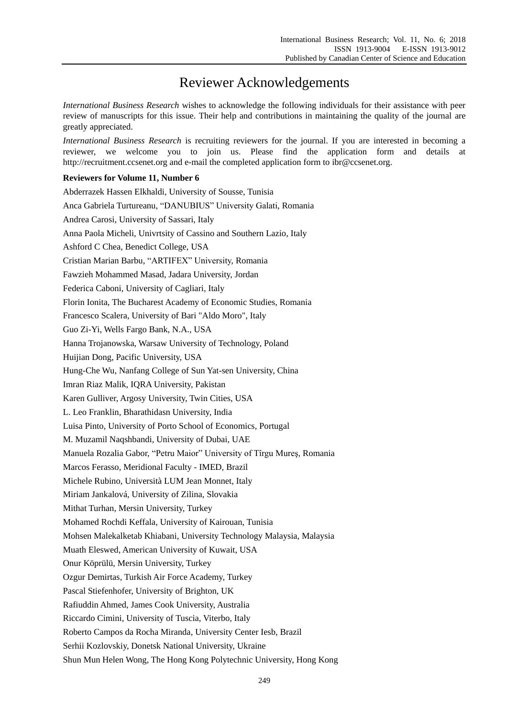## Reviewer Acknowledgements

*International Business Research* wishes to acknowledge the following individuals for their assistance with peer review of manuscripts for this issue. Their help and contributions in maintaining the quality of the journal are greatly appreciated.

*International Business Research* is recruiting reviewers for the journal. If you are interested in becoming a reviewer, we welcome you to join us. Please find the application form and details at http://recruitment.ccsenet.org and e-mail the completed application form to ibr@ccsenet.org.

## **Reviewers for Volume 11, Number 6**

Abderrazek Hassen Elkhaldi, University of Sousse, Tunisia Anca Gabriela Turtureanu, "DANUBIUS" University Galati, Romania Andrea Carosi, University of Sassari, Italy Anna Paola Micheli, Univrtsity of Cassino and Southern Lazio, Italy Ashford C Chea, Benedict College, USA Cristian Marian Barbu, "ARTIFEX" University, Romania Fawzieh Mohammed Masad, Jadara University, Jordan Federica Caboni, University of Cagliari, Italy Florin Ionita, The Bucharest Academy of Economic Studies, Romania Francesco Scalera, University of Bari "Aldo Moro", Italy Guo Zi-Yi, Wells Fargo Bank, N.A., USA Hanna Trojanowska, Warsaw University of Technology, Poland Huijian Dong, Pacific University, USA Hung-Che Wu, Nanfang College of Sun Yat-sen University, China Imran Riaz Malik, IQRA University, Pakistan Karen Gulliver, Argosy University, Twin Cities, USA L. Leo Franklin, Bharathidasn University, India Luisa Pinto, University of Porto School of Economics, Portugal M. Muzamil Naqshbandi, University of Dubai, UAE Manuela Rozalia Gabor, "Petru Maior" University of Tîrgu Mureş, Romania Marcos Ferasso, Meridional Faculty - IMED, Brazil Michele Rubino, Università LUM Jean Monnet, Italy Miriam Jankalová, University of Zilina, Slovakia Mithat Turhan, Mersin University, Turkey Mohamed Rochdi Keffala, University of Kairouan, Tunisia Mohsen Malekalketab Khiabani, University Technology Malaysia, Malaysia Muath Eleswed, American University of Kuwait, USA Onur Köprülü, Mersin University, Turkey Ozgur Demirtas, Turkish Air Force Academy, Turkey Pascal Stiefenhofer, University of Brighton, UK Rafiuddin Ahmed, James Cook University, Australia Riccardo Cimini, University of Tuscia, Viterbo, Italy Roberto Campos da Rocha Miranda, University Center Iesb, Brazil Serhii Kozlovskiy, Donetsk National University, Ukraine Shun Mun Helen Wong, The Hong Kong Polytechnic University, Hong Kong